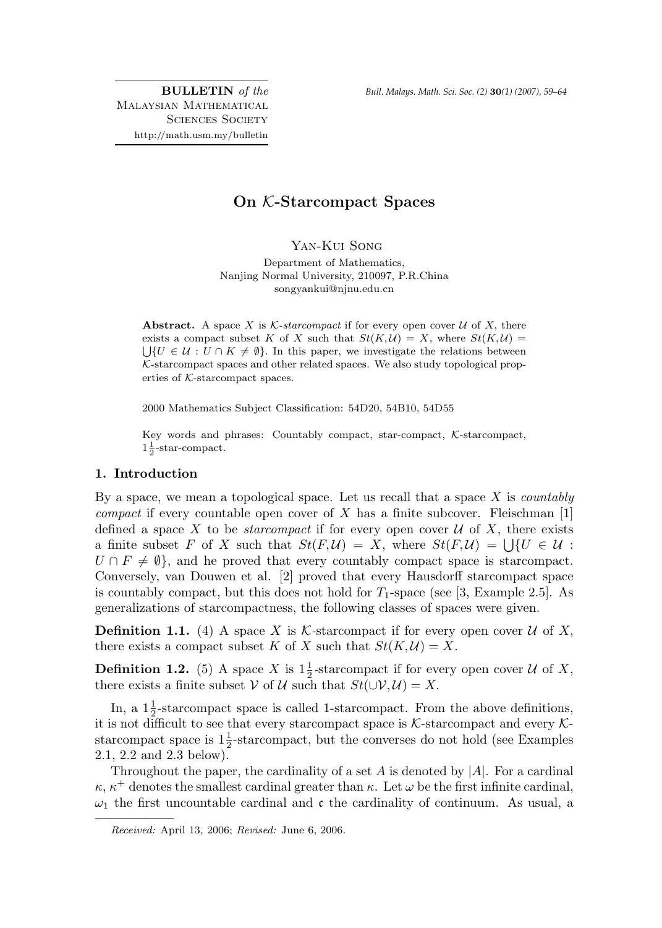BULLETIN of the Malaysian Mathematical SCIENCES SOCIETY http://math.usm.my/bulletin

# On K-Starcompact Spaces

Yan-Kui Song

Department of Mathematics, Nanjing Normal University, 210097, P.R.China songyankui@njnu.edu.cn

Abstract. A space X is K-starcompact if for every open cover U of X, there exists a compact subset K of X such that  $St(K, \mathcal{U}) = X$ , where  $St(K, \mathcal{U}) =$  $\bigcup \{U \in \mathcal{U} : U \cap K \neq \emptyset\}.$  In this paper, we investigate the relations between  $K$ -starcompact spaces and other related spaces. We also study topological properties of K-starcompact spaces.

2000 Mathematics Subject Classification: 54D20, 54B10, 54D55

Key words and phrases: Countably compact, star-compact, K-starcompact,  $1\frac{1}{2}$ -star-compact.

## 1. Introduction

By a space, we mean a topological space. Let us recall that a space  $X$  is *countably compact* if every countable open cover of X has a finite subcover. Fleischman  $[1]$ defined a space X to be *starcompact* if for every open cover  $\mathcal U$  of X, there exists a finite subset F of X such that  $St(F, \mathcal{U}) = X$ , where  $St(F, \mathcal{U}) = \bigcup \{U \in \mathcal{U} :$  $U \cap F \neq \emptyset$ , and he proved that every countably compact space is starcompact. Conversely, van Douwen et al. [2] proved that every Hausdorff starcompact space is countably compact, but this does not hold for  $T_1$ -space (see [3, Example 2.5]. As generalizations of starcompactness, the following classes of spaces were given.

**Definition 1.1.** (4) A space X is K-starcompact if for every open cover U of X, there exists a compact subset K of X such that  $St(K, U) = X$ .

**Definition 1.2.** (5) A space X is  $1\frac{1}{2}$ -starcompact if for every open cover U of X, there exists a finite subset V of U such that  $St(\cup V, U) = X$ .

In, a  $1\frac{1}{2}$ -starcompact space is called 1-starcompact. From the above definitions, it is not difficult to see that every starcompact space is  $K$ -starcompact and every  $K$ starcompact space is  $1\frac{1}{2}$ -starcompact, but the converses do not hold (see Examples 2.1, 2.2 and 2.3 below).

Throughout the paper, the cardinality of a set  $A$  is denoted by  $|A|$ . For a cardinal  $\kappa$ ,  $\kappa^+$  denotes the smallest cardinal greater than  $\kappa$ . Let  $\omega$  be the first infinite cardinal,  $\omega_1$  the first uncountable cardinal and c the cardinality of continuum. As usual, a

Received: April 13, 2006; Revised: June 6, 2006.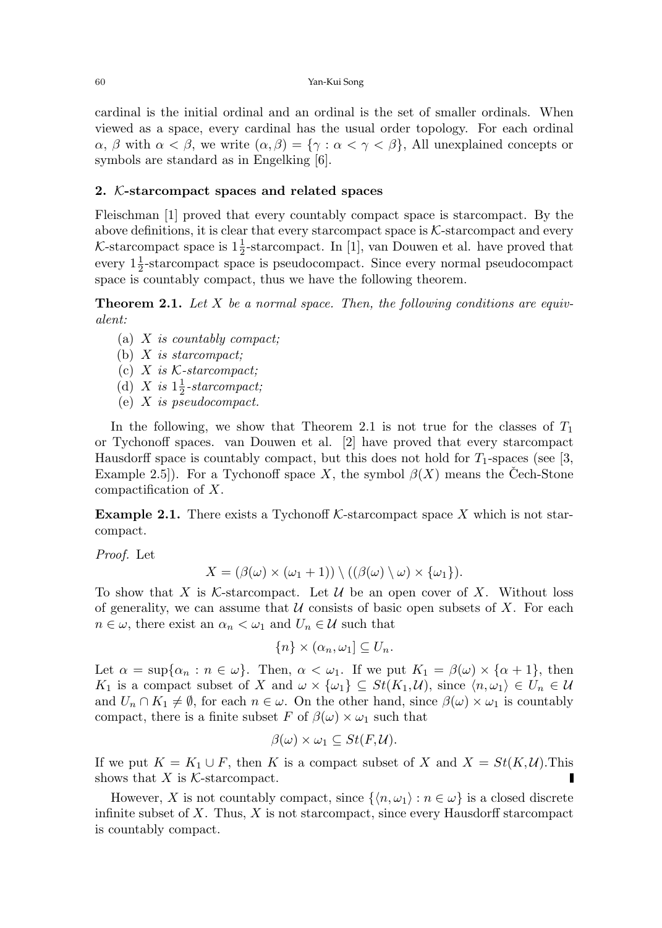cardinal is the initial ordinal and an ordinal is the set of smaller ordinals. When viewed as a space, every cardinal has the usual order topology. For each ordinal  $\alpha$ ,  $\beta$  with  $\alpha < \beta$ , we write  $(\alpha, \beta) = {\gamma : \alpha < \gamma < \beta}$ , All unexplained concepts or symbols are standard as in Engelking [6].

## 2. K-starcompact spaces and related spaces

Fleischman [1] proved that every countably compact space is starcompact. By the above definitions, it is clear that every starcompact space is  $K$ -starcompact and every *K*-starcompact space is  $1\frac{1}{2}$ -starcompact. In [1], van Douwen et al. have proved that every  $1\frac{1}{2}$ -starcompact space is pseudocompact. Since every normal pseudocompact space is countably compact, thus we have the following theorem.

**Theorem 2.1.** Let X be a normal space. Then, the following conditions are equivalent:

- (a) X is countably compact;
- (b)  $X$  is starcompact;
- (c)  $X$  is  $K$ -starcompact;
- (d) X is  $1\frac{1}{2}$ -starcompact;
- (e) X is pseudocompact.

In the following, we show that Theorem 2.1 is not true for the classes of  $T_1$ or Tychonoff spaces. van Douwen et al. [2] have proved that every starcompact Hausdorff space is countably compact, but this does not hold for  $T_1$ -spaces (see [3, Example 2.5]). For a Tychonoff space X, the symbol  $\beta(X)$  means the Cech-Stone compactification of X.

**Example 2.1.** There exists a Tychonoff K-starcompact space X which is not starcompact.

Proof. Let

$$
X = (\beta(\omega) \times (\omega_1 + 1)) \setminus ((\beta(\omega) \setminus \omega) \times {\omega_1}).
$$

To show that X is K-starcompact. Let U be an open cover of X. Without loss of generality, we can assume that  $U$  consists of basic open subsets of X. For each  $n \in \omega$ , there exist an  $\alpha_n < \omega_1$  and  $U_n \in \mathcal{U}$  such that

$$
\{n\} \times (\alpha_n, \omega_1] \subseteq U_n.
$$

Let  $\alpha = \sup{\alpha_n : n \in \omega}$ . Then,  $\alpha < \omega_1$ . If we put  $K_1 = \beta(\omega) \times {\alpha + 1}$ , then K<sub>1</sub> is a compact subset of X and  $\omega \times {\{\omega_1\}} \subseteq St(K_1, \mathcal{U})$ , since  $\langle n, \omega_1 \rangle \in U_n \in \mathcal{U}$ and  $U_n \cap K_1 \neq \emptyset$ , for each  $n \in \omega$ . On the other hand, since  $\beta(\omega) \times \omega_1$  is countably compact, there is a finite subset F of  $\beta(\omega) \times \omega_1$  such that

$$
\beta(\omega) \times \omega_1 \subseteq St(F, \mathcal{U}).
$$

If we put  $K = K_1 \cup F$ , then K is a compact subset of X and  $X = St(K, \mathcal{U})$ . This shows that X is  $K$ -starcompact.

However, X is not countably compact, since  $\{\langle n, \omega_1 \rangle : n \in \omega\}$  is a closed discrete infinite subset of  $X$ . Thus,  $X$  is not starcompact, since every Hausdorff starcompact is countably compact.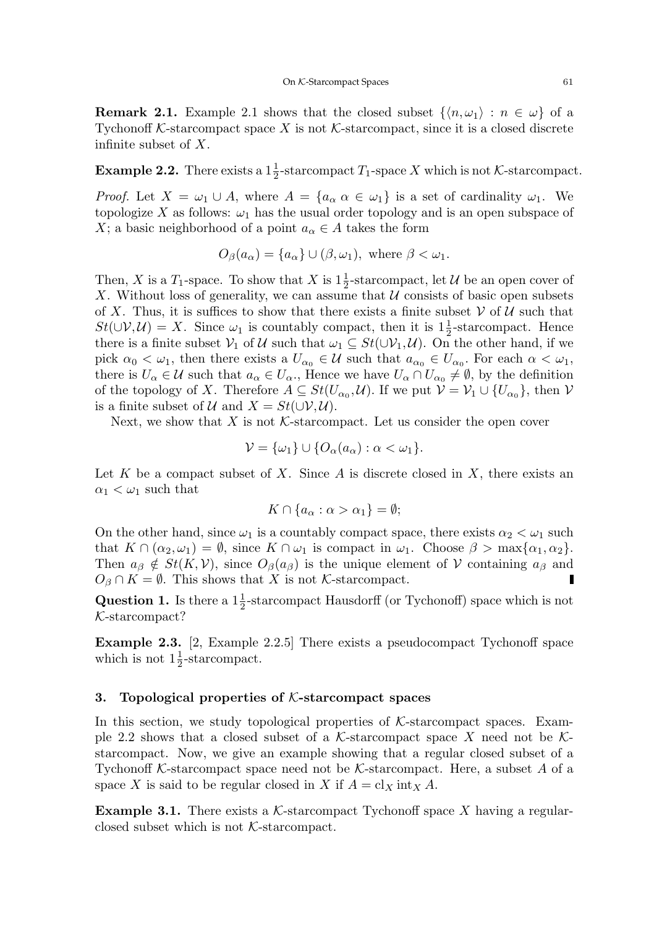**Remark 2.1.** Example 2.1 shows that the closed subset  $\{\langle n, \omega_1 \rangle : n \in \omega\}$  of a Tychonoff K-starcompact space X is not K-starcompact, since it is a closed discrete infinite subset of X.

**Example 2.2.** There exists a  $1\frac{1}{2}$ -starcompact  $T_1$ -space X which is not K-starcompact.

*Proof.* Let  $X = \omega_1 \cup A$ , where  $A = \{a_\alpha \alpha \in \omega_1\}$  is a set of cardinality  $\omega_1$ . We topologize X as follows:  $\omega_1$  has the usual order topology and is an open subspace of X; a basic neighborhood of a point  $a_{\alpha} \in A$  takes the form

$$
O_{\beta}(a_{\alpha}) = \{a_{\alpha}\} \cup (\beta, \omega_1), \text{ where } \beta < \omega_1.
$$

Then, X is a  $T_1$ -space. To show that X is  $1\frac{1}{2}$ -starcompact, let U be an open cover of X. Without loss of generality, we can assume that  $\mathcal U$  consists of basic open subsets of X. Thus, it is suffices to show that there exists a finite subset  $\mathcal V$  of  $\mathcal U$  such that  $St(\cup V, U) = X$ . Since  $\omega_1$  is countably compact, then it is  $1\frac{1}{2}$ -starcompact. Hence there is a finite subset  $V_1$  of U such that  $\omega_1 \subseteq St(\cup V_1, U)$ . On the other hand, if we pick  $\alpha_0 < \omega_1$ , then there exists a  $U_{\alpha_0} \in \mathcal{U}$  such that  $a_{\alpha_0} \in U_{\alpha_0}$ . For each  $\alpha < \omega_1$ , there is  $U_{\alpha} \in \mathcal{U}$  such that  $a_{\alpha} \in U_{\alpha}$ ., Hence we have  $U_{\alpha} \cap U_{\alpha_0} \neq \emptyset$ , by the definition of the topology of X. Therefore  $A \subseteq St(U_{\alpha_0}, \mathcal{U})$ . If we put  $\mathcal{V} = \mathcal{V}_1 \cup \{U_{\alpha_0}\}$ , then  $\mathcal{V}$ is a finite subset of  $\mathcal U$  and  $X = St(\cup \mathcal V, \mathcal U)$ .

Next, we show that  $X$  is not  $K$ -starcompact. Let us consider the open cover

$$
\mathcal{V} = \{\omega_1\} \cup \{O_\alpha(a_\alpha) : \alpha < \omega_1\}.
$$

Let K be a compact subset of X. Since A is discrete closed in X, there exists an  $\alpha_1 < \omega_1$  such that

$$
K \cap \{a_{\alpha} : \alpha > \alpha_1\} = \emptyset;
$$

On the other hand, since  $\omega_1$  is a countably compact space, there exists  $\alpha_2 < \omega_1$  such that  $K \cap (\alpha_2, \omega_1) = \emptyset$ , since  $K \cap \omega_1$  is compact in  $\omega_1$ . Choose  $\beta > \max{\{\alpha_1, \alpha_2\}}$ . Then  $a_{\beta} \notin St(K, V)$ , since  $O_{\beta}(a_{\beta})$  is the unique element of V containing  $a_{\beta}$  and  $O_\beta \cap K = \emptyset$ . This shows that X is not K-starcompact.

**Question 1.** Is there a  $1\frac{1}{2}$ -starcompact Hausdorff (or Tychonoff) space which is not K-starcompact?

Example 2.3. [2, Example 2.2.5] There exists a pseudocompact Tychonoff space which is not  $1\frac{1}{2}$ -starcompact.

#### 3. Topological properties of  $K$ -starcompact spaces

In this section, we study topological properties of  $K$ -starcompact spaces. Example 2.2 shows that a closed subset of a K-starcompact space X need not be  $K$ starcompact. Now, we give an example showing that a regular closed subset of a Tychonoff K-starcompact space need not be K-starcompact. Here, a subset A of a space X is said to be regular closed in X if  $A = cl_X$  int<sub>X</sub> A.

**Example 3.1.** There exists a  $K$ -starcompact Tychonoff space X having a regularclosed subset which is not K-starcompact.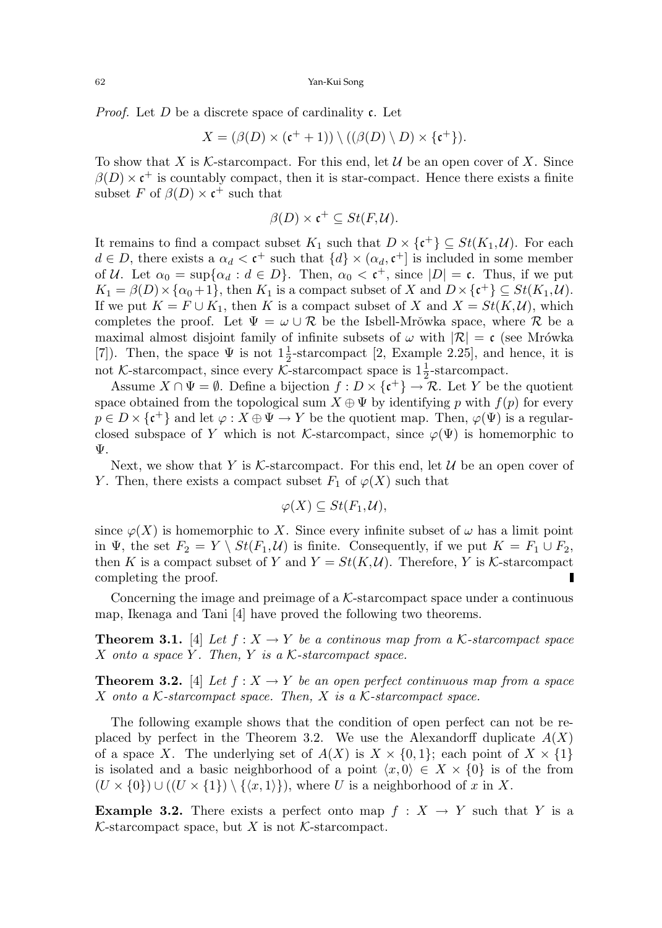*Proof.* Let D be a discrete space of cardinality  $\mathfrak{c}$ . Let

$$
X = (\beta(D) \times (\mathfrak{c}^+ + 1)) \setminus ((\beta(D) \setminus D) \times \{\mathfrak{c}^+\}).
$$

To show that X is K-starcompact. For this end, let U be an open cover of X. Since  $\beta(D) \times \mathfrak{c}^+$  is countably compact, then it is star-compact. Hence there exists a finite subset F of  $\beta(D) \times \mathfrak{c}^+$  such that

$$
\beta(D) \times \mathfrak{c}^+ \subseteq St(F, \mathcal{U}).
$$

It remains to find a compact subset  $K_1$  such that  $D \times {\{\mathfrak{c}}^+\}\subseteq St(K_1,\mathcal{U})$ . For each  $d \in D$ , there exists a  $\alpha_d < \mathfrak{c}^+$  such that  $\{d\} \times (\alpha_d, \mathfrak{c}^+]$  is included in some member of U. Let  $\alpha_0 = \sup{\{\alpha_d : d \in D\}}$ . Then,  $\alpha_0 < \mathfrak{c}^+$ , since  $|D| = \mathfrak{c}$ . Thus, if we put  $K_1 = \beta(D) \times {\alpha_0 + 1}$ , then  $K_1$  is a compact subset of X and  $D \times {\mathfrak{c}^+}$   $\subseteq St(K_1, \mathcal{U})$ . If we put  $K = F \cup K_1$ , then K is a compact subset of X and  $X = St(K, U)$ , which completes the proof. Let  $\Psi = \omega \cup \mathcal{R}$  be the Isbell-Mrowka space, where  $\mathcal{R}$  be a maximal almost disjoint family of infinite subsets of  $\omega$  with  $|\mathcal{R}| = c$  (see Mrówka [7]). Then, the space  $\Psi$  is not  $1\frac{1}{2}$ -starcompact [2, Example 2.25], and hence, it is not  $K$ -starcompact, since every  $\overline{\mathcal{K}}$ -starcompact space is  $1\frac{1}{2}$ -starcompact.

Assume  $X \cap \Psi = \emptyset$ . Define a bijection  $f : D \times {\{\mathfrak{c}}^+\} \to \mathcal{R}$ . Let Y be the quotient space obtained from the topological sum  $X \oplus \Psi$  by identifying p with  $f(p)$  for every  $p \in D \times {\{\mathfrak{c}}^+\}$  and let  $\varphi: X \oplus \Psi \to Y$  be the quotient map. Then,  $\varphi(\Psi)$  is a regularclosed subspace of Y which is not K-starcompact, since  $\varphi(\Psi)$  is homemorphic to Ψ.

Next, we show that Y is K-starcompact. For this end, let  $\mathcal U$  be an open cover of Y. Then, there exists a compact subset  $F_1$  of  $\varphi(X)$  such that

$$
\varphi(X) \subseteq St(F_1, \mathcal{U}),
$$

since  $\varphi(X)$  is homemorphic to X. Since every infinite subset of  $\omega$  has a limit point in  $\Psi$ , the set  $F_2 = Y \setminus St(F_1, \mathcal{U})$  is finite. Consequently, if we put  $K = F_1 \cup F_2$ , then K is a compact subset of Y and  $Y = St(K, U)$ . Therefore, Y is K-starcompact completing the proof.

Concerning the image and preimage of a  $K$ -starcompact space under a continuous map, Ikenaga and Tani [4] have proved the following two theorems.

**Theorem 3.1.** [4] Let  $f : X \to Y$  be a continuous map from a K-starcompact space  $X$  onto a space Y. Then, Y is a  $K$ -starcompact space.

**Theorem 3.2.** [4] Let  $f: X \to Y$  be an open perfect continuous map from a space X onto a  $K$ -starcompact space. Then, X is a  $K$ -starcompact space.

The following example shows that the condition of open perfect can not be replaced by perfect in the Theorem 3.2. We use the Alexandorff duplicate  $A(X)$ of a space X. The underlying set of  $A(X)$  is  $X \times \{0,1\}$ ; each point of  $X \times \{1\}$ is isolated and a basic neighborhood of a point  $\langle x, 0 \rangle \in X \times \{0\}$  is of the from  $(U \times \{0\}) \cup ((U \times \{1\}) \setminus \{\langle x, 1 \rangle\}),$  where U is a neighborhood of x in X.

**Example 3.2.** There exists a perfect onto map  $f : X \to Y$  such that Y is a  $K$ -starcompact space, but X is not K-starcompact.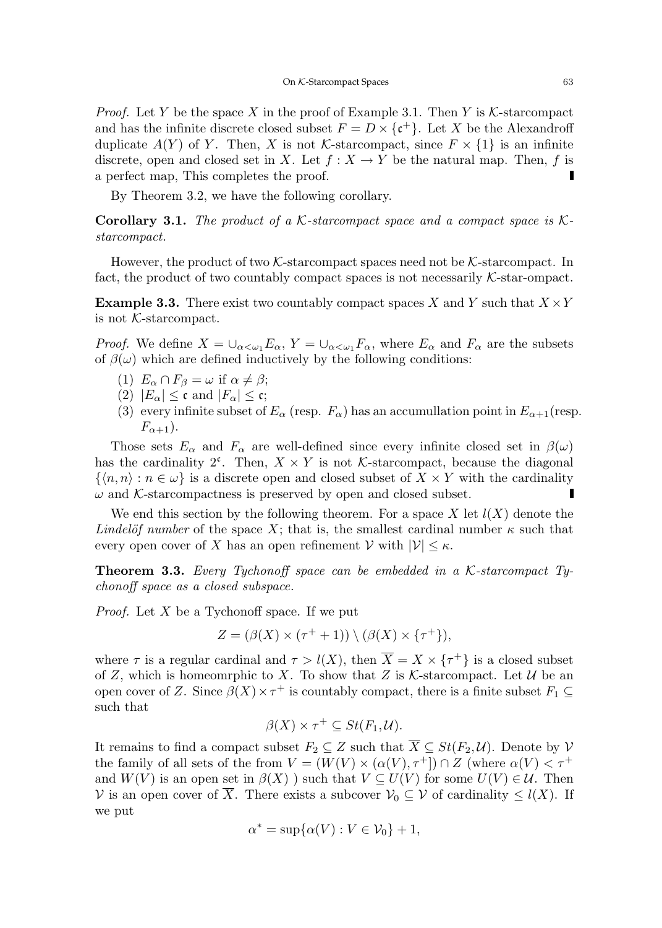*Proof.* Let Y be the space X in the proof of Example 3.1. Then Y is K-starcompact and has the infinite discrete closed subset  $F = D \times \{c^+\}\$ . Let X be the Alexandroff duplicate  $A(Y)$  of Y. Then, X is not K-starcompact, since  $F \times \{1\}$  is an infinite discrete, open and closed set in X. Let  $f: X \to Y$  be the natural map. Then, f is a perfect map, This completes the proof. Г

By Theorem 3.2, we have the following corollary.

**Corollary 3.1.** The product of a K-starcompact space and a compact space is Kstarcompact.

However, the product of two  $K$ -starcompact spaces need not be  $K$ -starcompact. In fact, the product of two countably compact spaces is not necessarily  $K$ -star-ompact.

**Example 3.3.** There exist two countably compact spaces X and Y such that  $X \times Y$ is not K-starcompact.

*Proof.* We define  $X = \bigcup_{\alpha < \omega_1} E_\alpha$ ,  $Y = \bigcup_{\alpha < \omega_1} F_\alpha$ , where  $E_\alpha$  and  $F_\alpha$  are the subsets of  $\beta(\omega)$  which are defined inductively by the following conditions:

- (1)  $E_{\alpha} \cap F_{\beta} = \omega$  if  $\alpha \neq \beta$ ;
- (2)  $|E_{\alpha}| \leq \mathfrak{c}$  and  $|F_{\alpha}| \leq \mathfrak{c}$ ;
- (3) every infinite subset of  $E_{\alpha}$  (resp.  $F_{\alpha}$ ) has an accumullation point in  $E_{\alpha+1}$  (resp.  $F_{\alpha+1}$ ).

Those sets  $E_{\alpha}$  and  $F_{\alpha}$  are well-defined since every infinite closed set in  $\beta(\omega)$ has the cardinality  $2^c$ . Then,  $X \times Y$  is not *K*-starcompact, because the diagonal  $\{(n, n): n \in \omega\}$  is a discrete open and closed subset of  $X \times Y$  with the cardinality  $\omega$  and K-starcompactness is preserved by open and closed subset. Г

We end this section by the following theorem. For a space X let  $l(X)$  denote the Lindelöf number of the space X; that is, the smallest cardinal number  $\kappa$  such that every open cover of X has an open refinement  $V$  with  $|V| \leq \kappa$ .

**Theorem 3.3.** Every Tychonoff space can be embedded in a  $K$ -starcompact Tychonoff space as a closed subspace.

*Proof.* Let  $X$  be a Tychonoff space. If we put

$$
Z = (\beta(X) \times (\tau^+ + 1)) \setminus (\beta(X) \times \{\tau^+\}),
$$

where  $\tau$  is a regular cardinal and  $\tau > l(X)$ , then  $\overline{X} = X \times {\tau^+}$  is a closed subset of Z, which is homeomrphic to X. To show that Z is K-starcompact. Let U be an open cover of Z. Since  $\beta(X) \times \tau^+$  is countably compact, there is a finite subset  $F_1 \subseteq$ such that

$$
\beta(X) \times \tau^+ \subseteq St(F_1, \mathcal{U}).
$$

It remains to find a compact subset  $F_2 \subseteq Z$  such that  $\overline{X} \subseteq St(F_2, \mathcal{U})$ . Denote by  $\mathcal{V}$ the family of all sets of the from  $V = (W(V) \times (\alpha(V), \tau^+)) \cap Z$  (where  $\alpha(V) < \tau^+$ ) and  $W(V)$  is an open set in  $\beta(X)$  ) such that  $V \subseteq U(V)$  for some  $U(V) \in \mathcal{U}$ . Then V is an open cover of  $\overline{X}$ . There exists a subcover  $\mathcal{V}_0 \subseteq \mathcal{V}$  of cardinality  $\leq l(X)$ . If we put

$$
\alpha^* = \sup \{ \alpha(V) : V \in \mathcal{V}_0 \} + 1,
$$